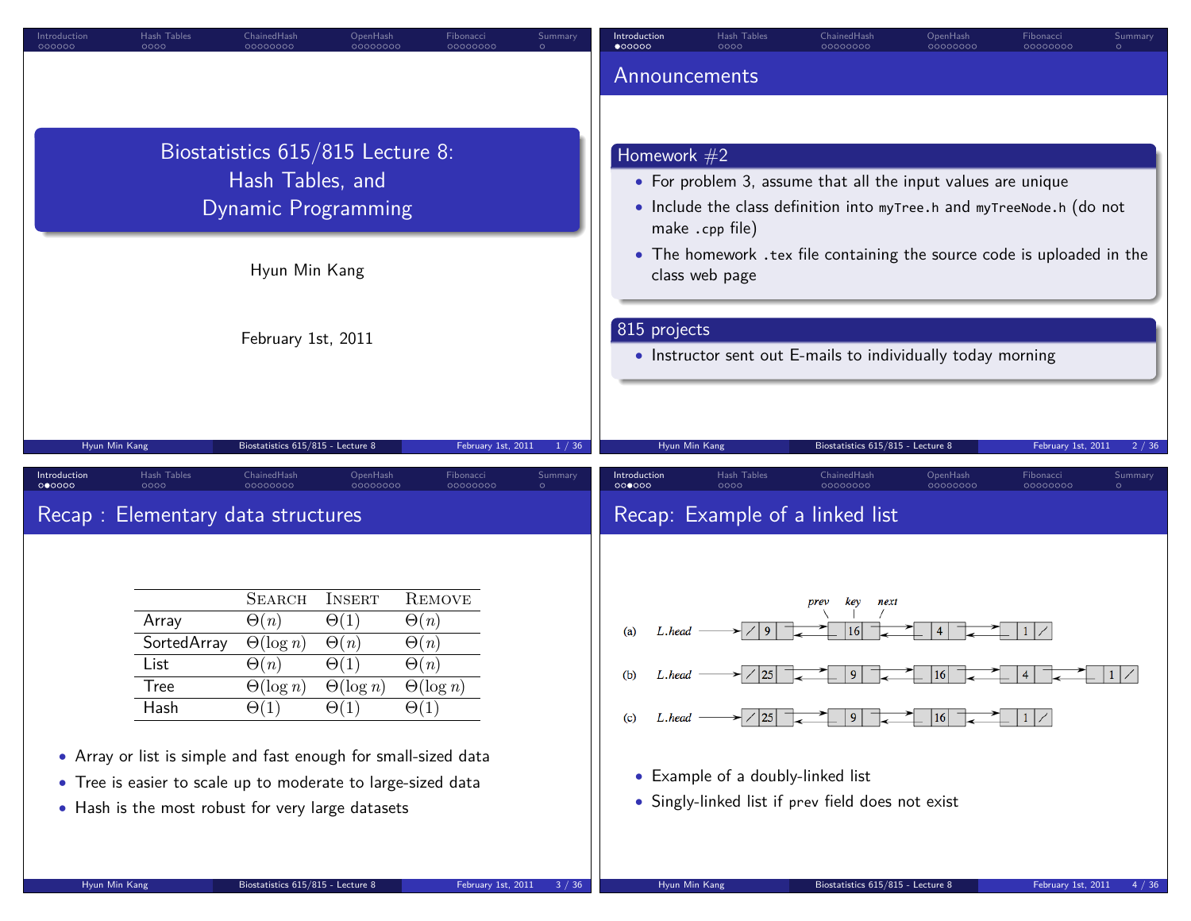| Introduction<br>Hash Tables<br>ChainedHash<br>OpenHash<br>Fibonacci<br>Summary<br>000000<br>0000<br>00000000<br>00000000<br>00000000<br>$\circ$                      | Introduction<br>Hash Tables<br>ChainedHash<br>OpenHash<br>Fibonacci<br>Summary<br>$\bullet$ 00000<br>0000<br>00000000<br>00000000<br>00000000<br>$\circ$           |
|----------------------------------------------------------------------------------------------------------------------------------------------------------------------|--------------------------------------------------------------------------------------------------------------------------------------------------------------------|
|                                                                                                                                                                      | Announcements                                                                                                                                                      |
|                                                                                                                                                                      |                                                                                                                                                                    |
| Biostatistics 615/815 Lecture 8:                                                                                                                                     | Homework $#2$                                                                                                                                                      |
| Hash Tables, and                                                                                                                                                     | • For problem 3, assume that all the input values are unique                                                                                                       |
| <b>Dynamic Programming</b>                                                                                                                                           | • Include the class definition into myTree.h and myTreeNode.h (do not                                                                                              |
|                                                                                                                                                                      | make .cpp file)                                                                                                                                                    |
| Hyun Min Kang                                                                                                                                                        | • The homework .tex file containing the source code is uploaded in the<br>class web page                                                                           |
|                                                                                                                                                                      |                                                                                                                                                                    |
| February 1st, 2011                                                                                                                                                   | 815 projects                                                                                                                                                       |
|                                                                                                                                                                      | • Instructor sent out E-mails to individually today morning                                                                                                        |
|                                                                                                                                                                      |                                                                                                                                                                    |
|                                                                                                                                                                      |                                                                                                                                                                    |
| Biostatistics 615/815 - Lecture 8<br>Hyun Min Kang<br>February 1st, 2011<br>1 / 36<br>Hash Tables<br>ChainedHash<br>OpenHash<br>Introduction<br>Fibonacci<br>Summary | Biostatistics 615/815 - Lecture 8<br>Hyun Min Kang<br>February 1st, 2011<br>2/36<br>Introduction<br>Hash Tables<br>ChainedHash<br>OpenHash<br>Fibonacci<br>Summary |
| 000000<br>0000<br>00000000<br>00000000<br>00000000<br>$\circ$                                                                                                        | 000000<br>0000<br>00000000<br>00000000<br>00000000<br>$\circ$                                                                                                      |
| Recap: Elementary data structures                                                                                                                                    | Recap: Example of a linked list                                                                                                                                    |
|                                                                                                                                                                      |                                                                                                                                                                    |
| <b>SEARCH</b><br><b>INSERT</b><br><b>REMOVE</b>                                                                                                                      | key<br>prev<br>next                                                                                                                                                |
| $\Theta(1)$<br>$\Theta(n)$<br>$\Theta(n)$<br>Array                                                                                                                   | (a)<br>L.head                                                                                                                                                      |
| SortedArray<br>$\Theta(\log n)$<br>$\Theta(n)$<br>$\Theta(n)$<br>$\Theta(1)$<br>$\Theta(n)$<br>$\Theta(n)$<br>List                                                   |                                                                                                                                                                    |
| $\Theta(\log n)$<br>$\Theta(\log n)$<br><b>Tree</b><br>$\Theta(\log n)$                                                                                              | (b)<br>L.head                                                                                                                                                      |
| $\Theta(1)$<br>$\Theta(1)$<br>$\Theta(1)$<br>Hash                                                                                                                    | 16<br>(c)<br>L.head                                                                                                                                                |
| • Array or list is simple and fast enough for small-sized data                                                                                                       |                                                                                                                                                                    |
| • Tree is easier to scale up to moderate to large-sized data                                                                                                         | • Example of a doubly-linked list                                                                                                                                  |
| • Hash is the most robust for very large datasets                                                                                                                    | • Singly-linked list if prev field does not exist                                                                                                                  |
|                                                                                                                                                                      |                                                                                                                                                                    |
| Hyun Min Kang<br>Biostatistics 615/815 - Lecture 8<br>February 1st, 2011<br>3/36                                                                                     | Hyun Min Kang<br>Biostatistics 615/815 - Lecture 8<br>February 1st, 2011<br>4 / 36                                                                                 |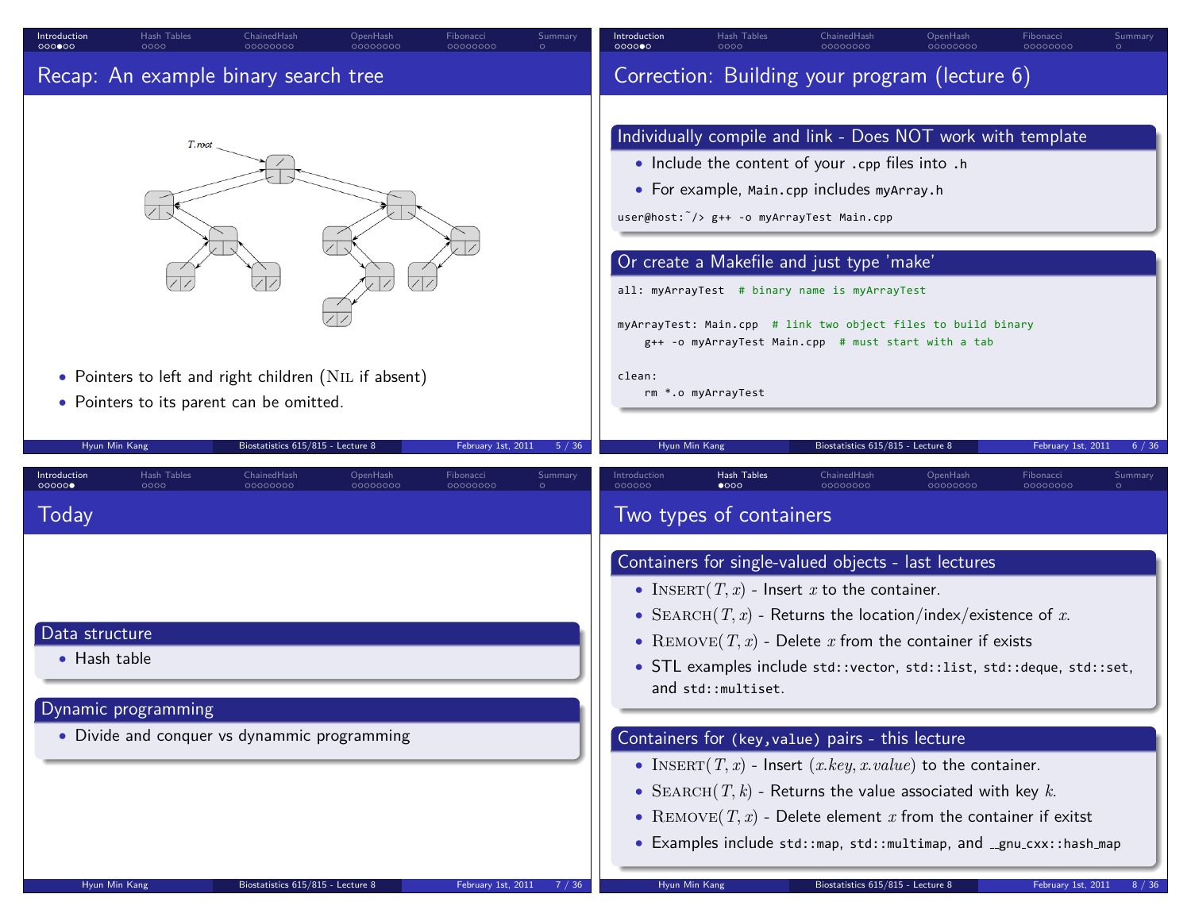| Introduction<br>000000                          | Hash Tables<br>0000 | ChainedHash<br>00000000                                                       | OpenHash<br>00000000                                  | Fibonacci<br>00000000 | Summary<br>$\circ$ | Introduction<br>0000000 | Hash Tables                                                                  | ChainedHash                                                                                                                                                                                                                                                                                                                                                                                                                                                                                                                                                                                                                                     | OpenHash<br>00000000 | Fibonacci<br>00000000 | Summary |
|-------------------------------------------------|---------------------|-------------------------------------------------------------------------------|-------------------------------------------------------|-----------------------|--------------------|-------------------------|------------------------------------------------------------------------------|-------------------------------------------------------------------------------------------------------------------------------------------------------------------------------------------------------------------------------------------------------------------------------------------------------------------------------------------------------------------------------------------------------------------------------------------------------------------------------------------------------------------------------------------------------------------------------------------------------------------------------------------------|----------------------|-----------------------|---------|
|                                                 |                     | Recap: An example binary search tree                                          |                                                       |                       |                    |                         |                                                                              | Correction: Building your program (lecture 6)                                                                                                                                                                                                                                                                                                                                                                                                                                                                                                                                                                                                   |                      |                       |         |
| Hyun Min Kang                                   | T.root              | • Pointers to its parent can be omitted.<br>Biostatistics 615/815 - Lecture 8 | • Pointers to left and right children (NIL if absent) | February 1st, 2011    | 5 / 36             | clean:<br>Hyun Min Kang | $user@host: \tilde{\ }$ /> g++ -o myArrayTest Main.cpp<br>rm *.o myArrayTest | Individually compile and link - Does NOT work with template<br>• Include the content of your .cpp files into .h<br>• For example, Main.cpp includes myArray.h<br>Or create a Makefile and just type 'make'<br>all: myArrayTest # binary name is myArrayTest<br>myArrayTest: Main.cpp # link two object files to build binary<br>g++ -o myArrayTest Main.cpp # must start with a tab<br>Biostatistics 615/815 - Lecture 8                                                                                                                                                                                                                        |                      | February 1st, 2011    | 6/36    |
| Introduction<br>00000                           | Hash Tables<br>0000 | ChainedHash<br>00000000                                                       | OpenHash<br>00000000                                  | Fibonacci<br>00000000 | Summary            | Introduction<br>000000  | Hash Tables<br>$\bullet$ 000                                                 | ChainedHash<br>00000000                                                                                                                                                                                                                                                                                                                                                                                                                                                                                                                                                                                                                         | OpenHash<br>00000000 | Fibonacci<br>00000000 | Summary |
| Today<br>Data structure<br>$\bullet$ Hash table | Dynamic programming | • Divide and conquer vs dynammic programming                                  |                                                       |                       |                    |                         | Two types of containers<br>and std::multiset.                                | Containers for single-valued objects - last lectures<br>• INSERT $(T, x)$ - Insert x to the container.<br>• SEARCH $(T, x)$ - Returns the location/index/existence of x.<br>• REMOVE(T, x) - Delete x from the container if exists<br>• STL examples include std:: vector, std:: list, std:: deque, std:: set,<br>Containers for (key, value) pairs - this lecture<br>• INSERT $(T, x)$ - Insert $(x. key, x. value)$ to the container.<br>• SEARCH $(T, k)$ - Returns the value associated with key k.<br>• REMOVE(T, x) - Delete element x from the container if exitst<br>• Examples include std::map, std::multimap, and _gnu_cxx::hash_map |                      |                       |         |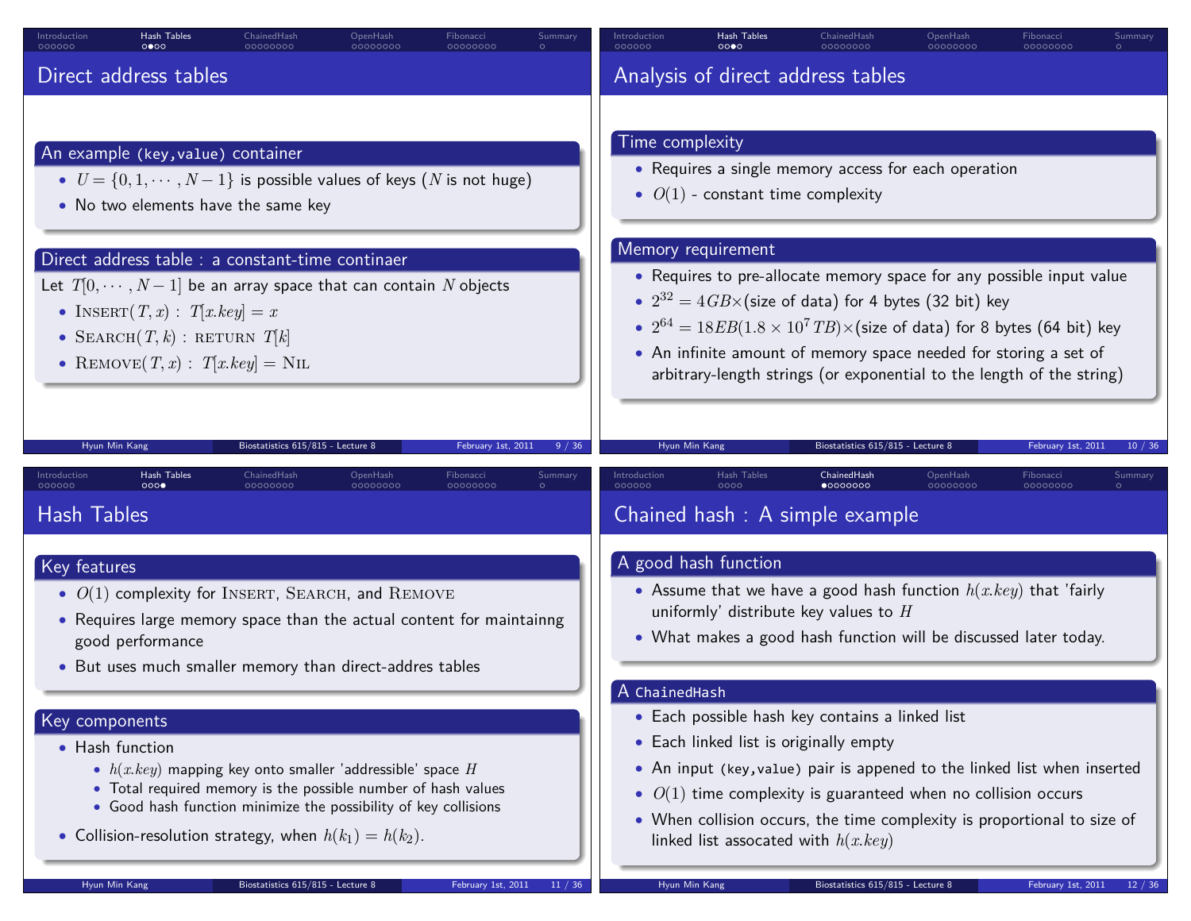| 00000000                                                                                                                                                                                                                                          | 00000000                                                                                                                                                                                                                                                                                                                                                                                                          |
|---------------------------------------------------------------------------------------------------------------------------------------------------------------------------------------------------------------------------------------------------|-------------------------------------------------------------------------------------------------------------------------------------------------------------------------------------------------------------------------------------------------------------------------------------------------------------------------------------------------------------------------------------------------------------------|
| 000000                                                                                                                                                                                                                                            | 000000                                                                                                                                                                                                                                                                                                                                                                                                            |
| 0000                                                                                                                                                                                                                                              | 0000                                                                                                                                                                                                                                                                                                                                                                                                              |
| 00000000                                                                                                                                                                                                                                          | 00000000                                                                                                                                                                                                                                                                                                                                                                                                          |
| 00000000                                                                                                                                                                                                                                          | 00000000                                                                                                                                                                                                                                                                                                                                                                                                          |
| $\circ$                                                                                                                                                                                                                                           | $\circ$                                                                                                                                                                                                                                                                                                                                                                                                           |
| Direct address tables                                                                                                                                                                                                                             | Analysis of direct address tables                                                                                                                                                                                                                                                                                                                                                                                 |
| An example (key, value) container                                                                                                                                                                                                                 | Time complexity                                                                                                                                                                                                                                                                                                                                                                                                   |
| • $U = \{0, 1, \dots, N-1\}$ is possible values of keys (N is not huge)                                                                                                                                                                           | • Requires a single memory access for each operation                                                                                                                                                                                                                                                                                                                                                              |
| • No two elements have the same key                                                                                                                                                                                                               | • $O(1)$ - constant time complexity                                                                                                                                                                                                                                                                                                                                                                               |
| Direct address table : a constant-time continaer<br>Let $T[0, \dots, N-1]$ be an array space that can contain N objects<br>• INSERT $(T, x)$ : $T[x key] = x$<br>• SEARCH $(T, k)$ : RETURN $T[k]$<br>• REMOVE $(T, x)$ : $T[x key] = \text{NIL}$ | Memory requirement<br>• Requires to pre-allocate memory space for any possible input value<br>• $2^{32} = 4GB \times$ (size of data) for 4 bytes (32 bit) key<br>• $2^{64} = 18EB(1.8 \times 10^7 \text{ TB}) \times (\text{size of data})$ for 8 bytes (64 bit) key<br>• An infinite amount of memory space needed for storing a set of<br>arbitrary-length strings (or exponential to the length of the string) |
| Hyun Min Kang                                                                                                                                                                                                                                     | Biostatistics 615/815 - Lecture 8                                                                                                                                                                                                                                                                                                                                                                                 |
| Biostatistics 615/815 - Lecture 8                                                                                                                                                                                                                 | Hyun Min Kang                                                                                                                                                                                                                                                                                                                                                                                                     |
| February 1st, 2011                                                                                                                                                                                                                                | February 1st, 2011                                                                                                                                                                                                                                                                                                                                                                                                |
| 9 / 36                                                                                                                                                                                                                                            | 10/36                                                                                                                                                                                                                                                                                                                                                                                                             |
| Hash Tables                                                                                                                                                                                                                                       | <b>Hash Tables</b>                                                                                                                                                                                                                                                                                                                                                                                                |
| ChainedHash                                                                                                                                                                                                                                       | ChainedHash                                                                                                                                                                                                                                                                                                                                                                                                       |
| OpenHash                                                                                                                                                                                                                                          | Introduction                                                                                                                                                                                                                                                                                                                                                                                                      |
| Fibonacci                                                                                                                                                                                                                                         | OpenHash                                                                                                                                                                                                                                                                                                                                                                                                          |
| Summary                                                                                                                                                                                                                                           | Fibonacci                                                                                                                                                                                                                                                                                                                                                                                                         |
| Introduction                                                                                                                                                                                                                                      | <b>Summary</b>                                                                                                                                                                                                                                                                                                                                                                                                    |
| 000<br>00000000<br>000000<br>00000000<br>00000000<br><b>Hash Tables</b>                                                                                                                                                                           | $\bullet$ 0000000<br>00000000<br>000000<br>noog<br>Chained hash: A simple example                                                                                                                                                                                                                                                                                                                                 |
| Key features                                                                                                                                                                                                                                      | A good hash function                                                                                                                                                                                                                                                                                                                                                                                              |
| • $O(1)$ complexity for INSERT, SEARCH, and REMOVE                                                                                                                                                                                                | • Assume that we have a good hash function $h(x-key)$ that 'fairly                                                                                                                                                                                                                                                                                                                                                |
| • Requires large memory space than the actual content for maintainng                                                                                                                                                                              | uniformly' distribute key values to $H$                                                                                                                                                                                                                                                                                                                                                                           |
| good performance                                                                                                                                                                                                                                  | • What makes a good hash function will be discussed later today.                                                                                                                                                                                                                                                                                                                                                  |
| • But uses much smaller memory than direct-addres tables                                                                                                                                                                                          | A ChainedHash                                                                                                                                                                                                                                                                                                                                                                                                     |
| Key components                                                                                                                                                                                                                                    | • Each possible hash key contains a linked list                                                                                                                                                                                                                                                                                                                                                                   |
| • Hash function                                                                                                                                                                                                                                   | • Each linked list is originally empty                                                                                                                                                                                                                                                                                                                                                                            |
| • $h(x-key)$ mapping key onto smaller 'addressible' space H                                                                                                                                                                                       | • An input (key, value) pair is appened to the linked list when inserted                                                                                                                                                                                                                                                                                                                                          |
| • Total required memory is the possible number of hash values                                                                                                                                                                                     | • $O(1)$ time complexity is guaranteed when no collision occurs                                                                                                                                                                                                                                                                                                                                                   |
| • Good hash function minimize the possibility of key collisions                                                                                                                                                                                   | • When collision occurs, the time complexity is proportional to size of                                                                                                                                                                                                                                                                                                                                           |
| • Collision-resolution strategy, when $h(k_1) = h(k_2)$ .                                                                                                                                                                                         | linked list assocated with $h(x, key)$                                                                                                                                                                                                                                                                                                                                                                            |
| Hyun Min Kang                                                                                                                                                                                                                                     | Hyun Min Kang                                                                                                                                                                                                                                                                                                                                                                                                     |
| Biostatistics 615/815 - Lecture 8                                                                                                                                                                                                                 | Biostatistics 615/815 - Lecture 8                                                                                                                                                                                                                                                                                                                                                                                 |
| February 1st, 2011                                                                                                                                                                                                                                | February 1st, 2011                                                                                                                                                                                                                                                                                                                                                                                                |
| 11 / 36                                                                                                                                                                                                                                           | 12 / 36                                                                                                                                                                                                                                                                                                                                                                                                           |

OpenHash

Fibonacci Summary

Introduction **Hash Tables** ChainedHash OpenHash Fibonacci Summary Introduction Hash Tables ChainedHash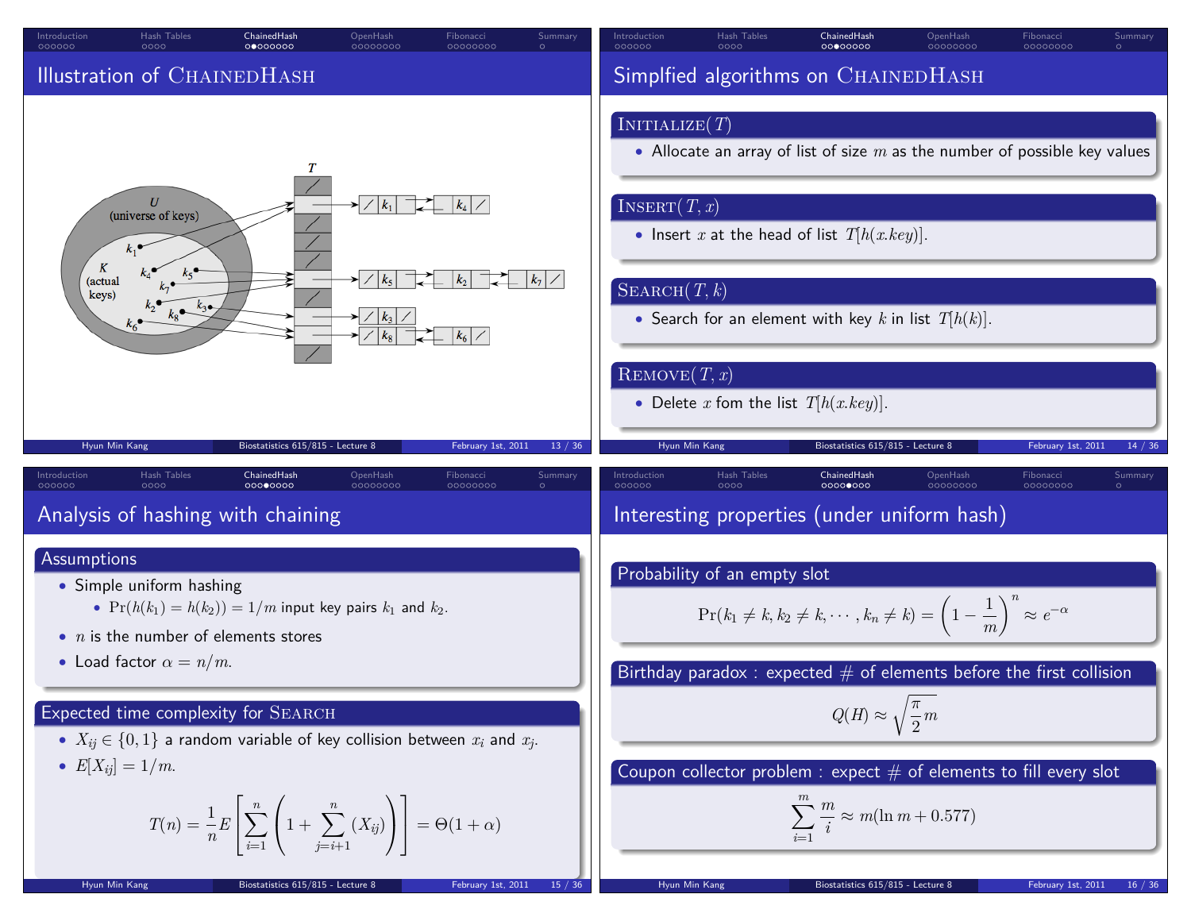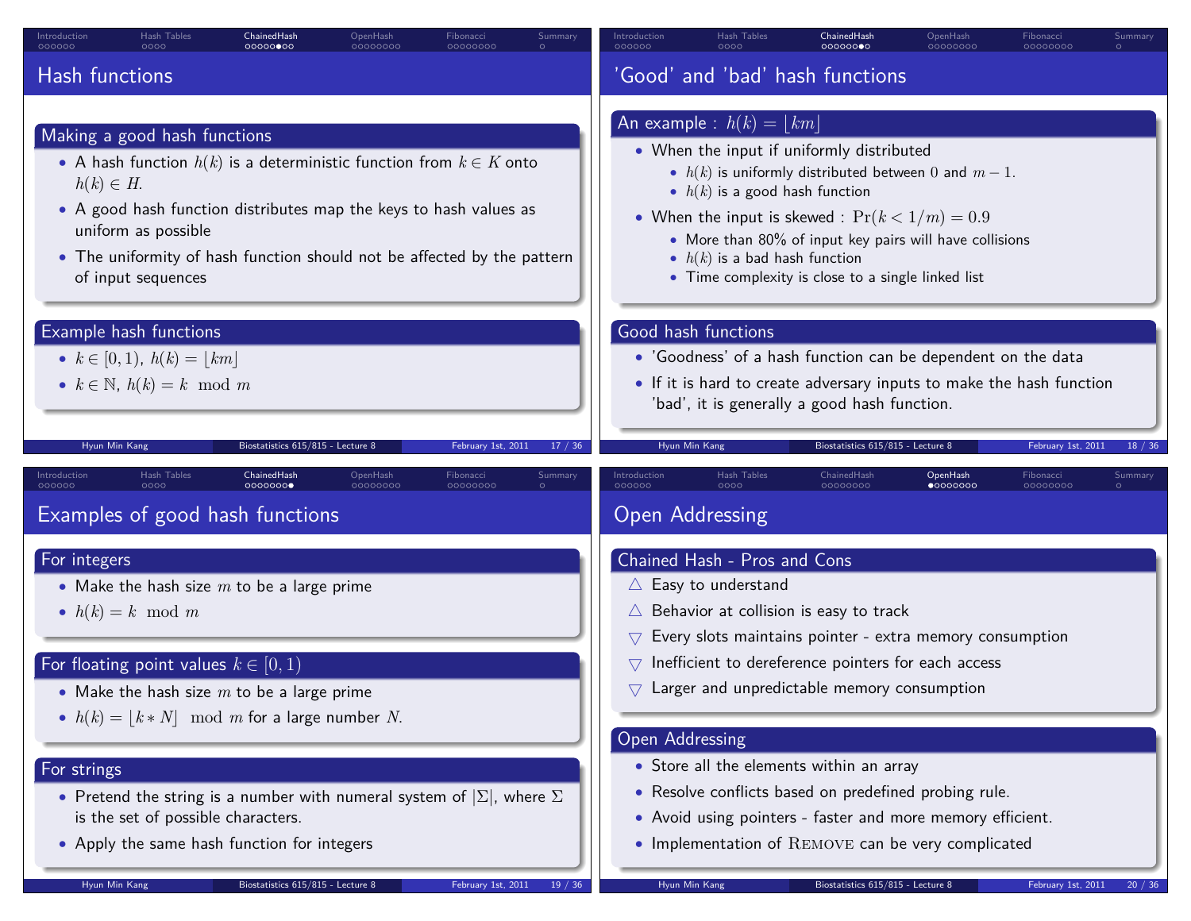| Hash Tables                                                                                                                                                                                                                                                                                                                                                                                                                      | Introduction                                                                                                                                                                                                                                                                                                                                                                                                                                                                                                                                                                                  |
|----------------------------------------------------------------------------------------------------------------------------------------------------------------------------------------------------------------------------------------------------------------------------------------------------------------------------------------------------------------------------------------------------------------------------------|-----------------------------------------------------------------------------------------------------------------------------------------------------------------------------------------------------------------------------------------------------------------------------------------------------------------------------------------------------------------------------------------------------------------------------------------------------------------------------------------------------------------------------------------------------------------------------------------------|
| Introduction                                                                                                                                                                                                                                                                                                                                                                                                                     | Hash Tables                                                                                                                                                                                                                                                                                                                                                                                                                                                                                                                                                                                   |
| ChainedHash                                                                                                                                                                                                                                                                                                                                                                                                                      | ChainedHash                                                                                                                                                                                                                                                                                                                                                                                                                                                                                                                                                                                   |
| OpenHash                                                                                                                                                                                                                                                                                                                                                                                                                         | OpenHash                                                                                                                                                                                                                                                                                                                                                                                                                                                                                                                                                                                      |
| Fibonacci                                                                                                                                                                                                                                                                                                                                                                                                                        | Fibonacci                                                                                                                                                                                                                                                                                                                                                                                                                                                                                                                                                                                     |
| Summary                                                                                                                                                                                                                                                                                                                                                                                                                          | Summary                                                                                                                                                                                                                                                                                                                                                                                                                                                                                                                                                                                       |
| 000000                                                                                                                                                                                                                                                                                                                                                                                                                           | 000000                                                                                                                                                                                                                                                                                                                                                                                                                                                                                                                                                                                        |
| 00000000                                                                                                                                                                                                                                                                                                                                                                                                                         | 00000000                                                                                                                                                                                                                                                                                                                                                                                                                                                                                                                                                                                      |
| 0000                                                                                                                                                                                                                                                                                                                                                                                                                             | 0000                                                                                                                                                                                                                                                                                                                                                                                                                                                                                                                                                                                          |
| 00000000                                                                                                                                                                                                                                                                                                                                                                                                                         | 00000000                                                                                                                                                                                                                                                                                                                                                                                                                                                                                                                                                                                      |
| 00000000                                                                                                                                                                                                                                                                                                                                                                                                                         | 00000000                                                                                                                                                                                                                                                                                                                                                                                                                                                                                                                                                                                      |
| Hash functions                                                                                                                                                                                                                                                                                                                                                                                                                   | 'Good' and 'bad' hash functions                                                                                                                                                                                                                                                                                                                                                                                                                                                                                                                                                               |
| Making a good hash functions<br>• A hash function $h(k)$ is a deterministic function from $k \in K$ onto<br>$h(k) \in H$ .<br>• A good hash function distributes map the keys to hash values as<br>uniform as possible<br>• The uniformity of hash function should not be affected by the pattern<br>of input sequences<br>Example hash functions<br>• $k \in [0,1)$ , $h(k) =  km $<br>• $k \in \mathbb{N}$ , $h(k) = k \mod m$ | An example : $h(k) =  km $<br>• When the input if uniformly distributed<br>• $h(k)$ is uniformly distributed between 0 and $m-1$ .<br>• $h(k)$ is a good hash function<br>• When the input is skewed : $Pr(k < 1/m) = 0.9$<br>• More than 80% of input key pairs will have collisions<br>• $h(k)$ is a bad hash function<br>• Time complexity is close to a single linked list<br>Good hash functions<br>• 'Goodness' of a hash function can be dependent on the data<br>• If it is hard to create adversary inputs to make the hash function<br>'bad', it is generally a good hash function. |
| Hyun Min Kang                                                                                                                                                                                                                                                                                                                                                                                                                    | Biostatistics 615/815 - Lecture 8                                                                                                                                                                                                                                                                                                                                                                                                                                                                                                                                                             |
| Biostatistics 615/815 - Lecture 8                                                                                                                                                                                                                                                                                                                                                                                                | February 1st, 2011                                                                                                                                                                                                                                                                                                                                                                                                                                                                                                                                                                            |
| February 1st, 2011                                                                                                                                                                                                                                                                                                                                                                                                               | Hyun Min Kang                                                                                                                                                                                                                                                                                                                                                                                                                                                                                                                                                                                 |
| 17 / 36                                                                                                                                                                                                                                                                                                                                                                                                                          | 18 / 36                                                                                                                                                                                                                                                                                                                                                                                                                                                                                                                                                                                       |
| Hash Tables                                                                                                                                                                                                                                                                                                                                                                                                                      | Hash Tables                                                                                                                                                                                                                                                                                                                                                                                                                                                                                                                                                                                   |
| ChainedHash                                                                                                                                                                                                                                                                                                                                                                                                                      | Introduction                                                                                                                                                                                                                                                                                                                                                                                                                                                                                                                                                                                  |
| OpenHash                                                                                                                                                                                                                                                                                                                                                                                                                         | ChainedHash                                                                                                                                                                                                                                                                                                                                                                                                                                                                                                                                                                                   |
| Fibonacci                                                                                                                                                                                                                                                                                                                                                                                                                        | OpenHash                                                                                                                                                                                                                                                                                                                                                                                                                                                                                                                                                                                      |
| Summary                                                                                                                                                                                                                                                                                                                                                                                                                          | Fibonacci                                                                                                                                                                                                                                                                                                                                                                                                                                                                                                                                                                                     |
| Introduction                                                                                                                                                                                                                                                                                                                                                                                                                     | Summary                                                                                                                                                                                                                                                                                                                                                                                                                                                                                                                                                                                       |
| 00000000                                                                                                                                                                                                                                                                                                                                                                                                                         | 000000                                                                                                                                                                                                                                                                                                                                                                                                                                                                                                                                                                                        |
| 000000                                                                                                                                                                                                                                                                                                                                                                                                                           | 0000                                                                                                                                                                                                                                                                                                                                                                                                                                                                                                                                                                                          |
| nnna                                                                                                                                                                                                                                                                                                                                                                                                                             | $\bullet$ 0000000                                                                                                                                                                                                                                                                                                                                                                                                                                                                                                                                                                             |
| 0000000C                                                                                                                                                                                                                                                                                                                                                                                                                         | 00000000                                                                                                                                                                                                                                                                                                                                                                                                                                                                                                                                                                                      |
| 00000000                                                                                                                                                                                                                                                                                                                                                                                                                         | 0000000C                                                                                                                                                                                                                                                                                                                                                                                                                                                                                                                                                                                      |
| Examples of good hash functions                                                                                                                                                                                                                                                                                                                                                                                                  | <b>Open Addressing</b>                                                                                                                                                                                                                                                                                                                                                                                                                                                                                                                                                                        |
| For integers<br>• Make the hash size $m$ to be a large prime                                                                                                                                                                                                                                                                                                                                                                     | Chained Hash - Pros and Cons                                                                                                                                                                                                                                                                                                                                                                                                                                                                                                                                                                  |
| • $h(k) = k \mod m$<br>For floating point values $k \in [0, 1)$<br>• Make the hash size $m$ to be a large prime<br>• $h(k) =  k * N  \mod m$ for a large number N.<br>For strings                                                                                                                                                                                                                                                | $\triangle$ Easy to understand<br>$\triangle$ Behavior at collision is easy to track<br>Every slots maintains pointer - extra memory consumption<br>$\bigtriangledown$<br>Inefficient to dereference pointers for each access<br>$\bigtriangledown$<br>Larger and unpredictable memory consumption<br>\7<br>Open Addressing<br>• Store all the elements within an array                                                                                                                                                                                                                       |
| • Pretend the string is a number with numeral system of $ \Sigma $ , where $\Sigma$                                                                                                                                                                                                                                                                                                                                              | • Resolve conflicts based on predefined probing rule.                                                                                                                                                                                                                                                                                                                                                                                                                                                                                                                                         |
| is the set of possible characters.                                                                                                                                                                                                                                                                                                                                                                                               | • Avoid using pointers - faster and more memory efficient.                                                                                                                                                                                                                                                                                                                                                                                                                                                                                                                                    |
| • Apply the same hash function for integers                                                                                                                                                                                                                                                                                                                                                                                      | • Implementation of REMOVE can be very complicated                                                                                                                                                                                                                                                                                                                                                                                                                                                                                                                                            |
| Hyun Min Kang                                                                                                                                                                                                                                                                                                                                                                                                                    | Hyun Min Kang                                                                                                                                                                                                                                                                                                                                                                                                                                                                                                                                                                                 |
| Biostatistics 615/815 - Lecture 8                                                                                                                                                                                                                                                                                                                                                                                                | Biostatistics 615/815 - Lecture 8                                                                                                                                                                                                                                                                                                                                                                                                                                                                                                                                                             |
| February 1st, 2011                                                                                                                                                                                                                                                                                                                                                                                                               | February 1st, 2011                                                                                                                                                                                                                                                                                                                                                                                                                                                                                                                                                                            |
| 19/36                                                                                                                                                                                                                                                                                                                                                                                                                            | 20/36                                                                                                                                                                                                                                                                                                                                                                                                                                                                                                                                                                                         |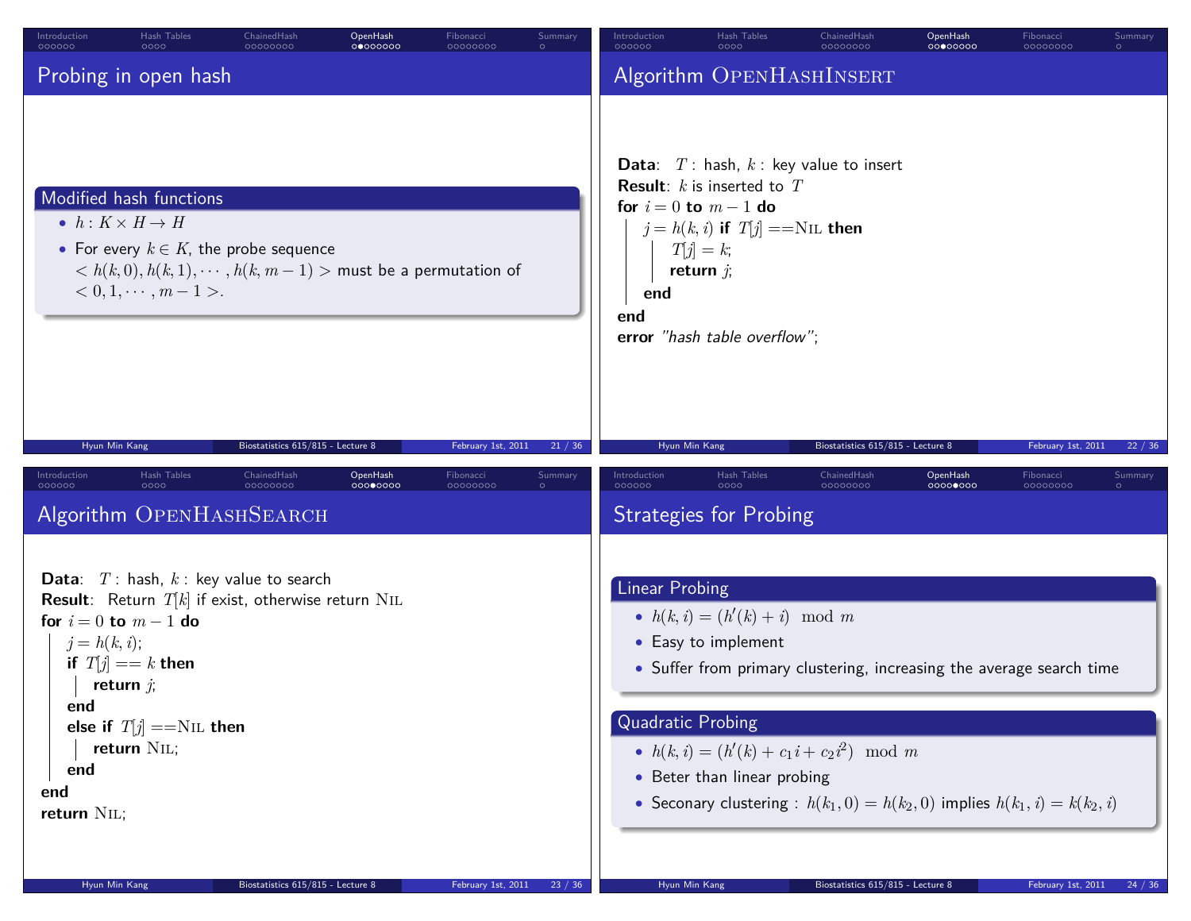| Hash Tables<br>Introduction<br>ChainedHash<br>OpenHash<br>Fibonacci<br>Summary<br>000000<br>00000000<br>00000000<br>00000000<br>0000                                                                                                                                                                                                                                             | Introduction<br>Hash Tables<br>ChainedHash<br>OpenHash<br>Fibonacci<br>Summary<br>000000<br>00000000<br>0000<br>00000000<br>00000000<br>$\circ$                                                                                                                                                                                                                                                                                          |
|----------------------------------------------------------------------------------------------------------------------------------------------------------------------------------------------------------------------------------------------------------------------------------------------------------------------------------------------------------------------------------|------------------------------------------------------------------------------------------------------------------------------------------------------------------------------------------------------------------------------------------------------------------------------------------------------------------------------------------------------------------------------------------------------------------------------------------|
| Probing in open hash                                                                                                                                                                                                                                                                                                                                                             | Algorithm OPENHASHINSERT                                                                                                                                                                                                                                                                                                                                                                                                                 |
| Modified hash functions<br>• $h: K \times H \rightarrow H$<br>• For every $k \in K$ , the probe sequence<br>$k < h(k,0), h(k,1), \cdots, h(k,m-1)$ > must be a permutation of<br>$0, 1, \cdots, m-1$ .                                                                                                                                                                           | <b>Data:</b> $T$ : hash, $k$ : key value to insert<br><b>Result:</b> $k$ is inserted to $T$<br>for $i = 0$ to $m - 1$ do<br>$j = h(k, i)$ if $T[j] ==$ NIL then<br>$T[j] = k;$<br>return $j$ ;<br>end<br>end<br>error "hash table overflow";                                                                                                                                                                                             |
| Biostatistics 615/815 - Lecture 8<br>February 1st, 2011<br>Hyun Min Kang<br>21 / 36<br>Hash Tables<br><b>OpenHash</b><br>Introduction<br>ChainedHash<br>Fibonacci<br>Summary<br>000000<br>00000000<br>00000000<br>00000000<br>nnnn<br>Algorithm OPENHASHSEARCH                                                                                                                   | Biostatistics 615/815 - Lecture 8<br>February 1st, 2011<br>Hyun Min Kang<br>22 / 36<br>Introduction<br>Hash Tables<br>ChainedHash<br>OpenHash<br>Fibonacci<br>Summary<br>000000<br>0000<br>00000000<br>00000000<br>0000000C<br><b>Strategies for Probing</b>                                                                                                                                                                             |
| <b>Data:</b> $T$ : hash, $k$ : key value to search<br><b>Result</b> : Return $T[k]$ if exist, otherwise return NIL<br>for $i = 0$ to $m - 1$ do<br>$j = h(k, i);$<br>if $T[j] == k$ then<br>return $j$ ;<br>end<br>else if $T[j] == NIL$ then<br>return NIL;<br>end<br>end<br>return NIL;<br>Hyun Min Kang<br>Biostatistics 615/815 - Lecture 8<br>February 1st, 2011<br>23 / 36 | Linear Probing<br>• $h(k, i) = (h'(k) + i) \mod m$<br>• Easy to implement<br>• Suffer from primary clustering, increasing the average search time<br><b>Quadratic Probing</b><br>• $h(k, i) = (h'(k) + c_1 i + c_2 i^2) \mod m$<br>• Beter than linear probing<br>• Seconary clustering : $h(k_1, 0) = h(k_2, 0)$ implies $h(k_1, i) = k(k_2, i)$<br>February 1st, 2011<br>Hyun Min Kang<br>Biostatistics 615/815 - Lecture 8<br>24 / 36 |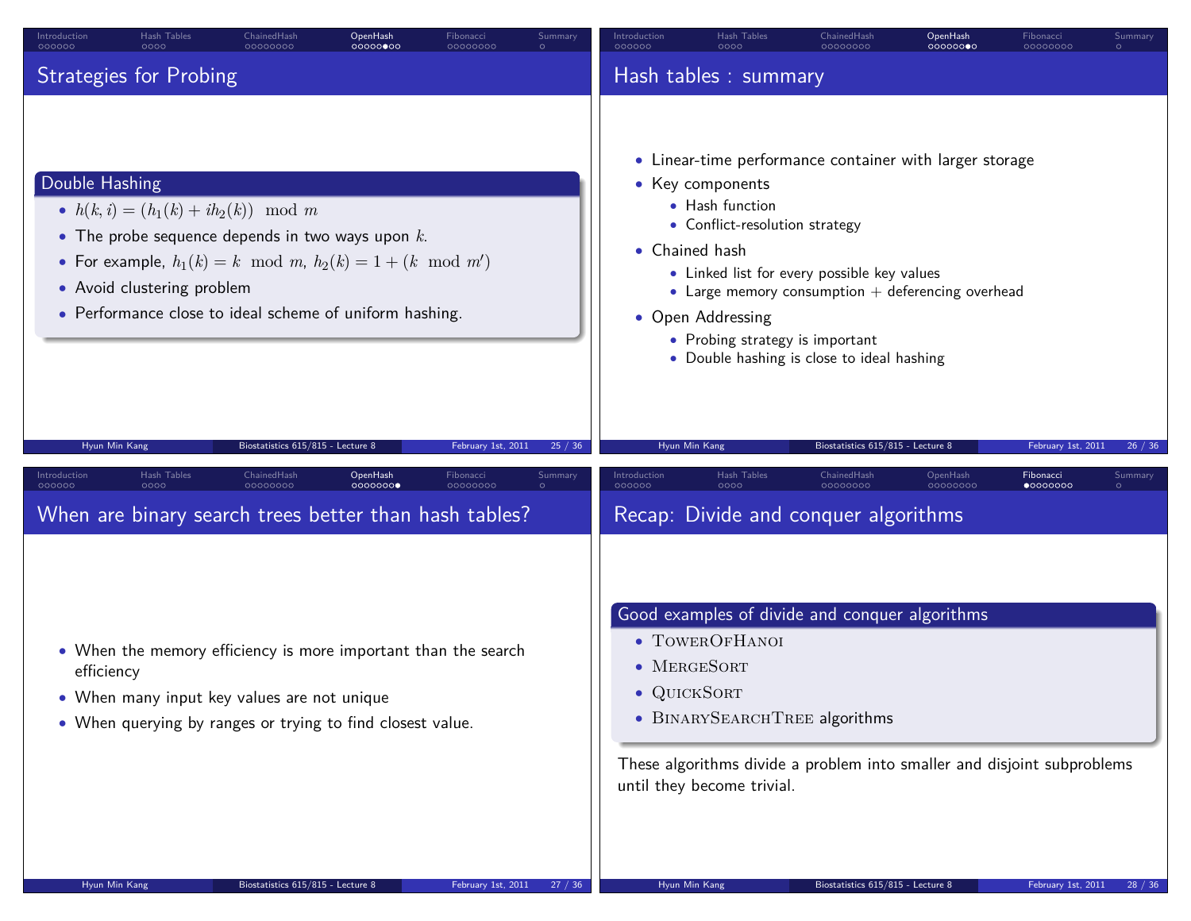| Introduction<br>000000        | Hash Tables<br>0000        | ChainedHash<br>00000000                                                                                                                                                                                                      | OpenHash<br>00000000 | Fibonacci<br>00000000 | Summary | Introduction<br>000000             | Hash Tables<br>0000                                                                                                           | ChainedHash<br>00000000                                                                                                                                                                                     | OpenHash<br>00000000 | Fibonacci<br>00000000                                                   | Summary |
|-------------------------------|----------------------------|------------------------------------------------------------------------------------------------------------------------------------------------------------------------------------------------------------------------------|----------------------|-----------------------|---------|------------------------------------|-------------------------------------------------------------------------------------------------------------------------------|-------------------------------------------------------------------------------------------------------------------------------------------------------------------------------------------------------------|----------------------|-------------------------------------------------------------------------|---------|
| <b>Strategies for Probing</b> |                            |                                                                                                                                                                                                                              |                      |                       |         |                                    | Hash tables : summary                                                                                                         |                                                                                                                                                                                                             |                      |                                                                         |         |
| Double Hashing                | • Avoid clustering problem | • $h(k, i) = (h_1(k) + ih_2(k)) \mod m$<br>• The probe sequence depends in two ways upon $k$ .<br>• For example, $h_1(k) = k \mod m$ , $h_2(k) = 1 + (k \mod m')$<br>• Performance close to ideal scheme of uniform hashing. |                      |                       |         | • Chained hash                     | • Key components<br>• Hash function<br>• Conflict-resolution strategy<br>• Open Addressing<br>• Probing strategy is important | • Linear-time performance container with larger storage<br>• Linked list for every possible key values<br>• Large memory consumption $+$ deferencing overhead<br>• Double hashing is close to ideal hashing |                      |                                                                         |         |
| Hyun Min Kang                 |                            | Biostatistics 615/815 - Lecture 8                                                                                                                                                                                            |                      | February 1st, 2011    | 25 / 36 | Hyun Min Kang                      |                                                                                                                               | Biostatistics 615/815 - Lecture 8                                                                                                                                                                           |                      | February 1st, 2011                                                      | 26 / 36 |
| Introduction<br>000000        | Hash Tables<br>0000        | ChainedHash<br>00000000                                                                                                                                                                                                      | OpenHash<br>00000000 | Fibonacci<br>00000000 | Summary | Introduction<br>000000             | Hash Tables<br>0000                                                                                                           | ChainedHash<br>00000000                                                                                                                                                                                     | OpenHash<br>00000000 | Fibonacci<br>•00000000                                                  | Summary |
|                               |                            | When are binary search trees better than hash tables?                                                                                                                                                                        |                      |                       |         |                                    |                                                                                                                               | Recap: Divide and conquer algorithms                                                                                                                                                                        |                      |                                                                         |         |
| efficiency                    |                            | • When the memory efficiency is more important than the search<br>• When many input key values are not unique<br>• When querying by ranges or trying to find closest value.                                                  |                      |                       |         | $\bullet$ MERGESORT<br>• QUICKSORT | • TOWEROFHANOI                                                                                                                | Good examples of divide and conquer algorithms<br>· BINARYSEARCHTREE algorithms                                                                                                                             |                      | These algorithms divide a problem into smaller and disjoint subproblems |         |
|                               |                            |                                                                                                                                                                                                                              |                      |                       |         |                                    | until they become trivial.                                                                                                    |                                                                                                                                                                                                             |                      |                                                                         |         |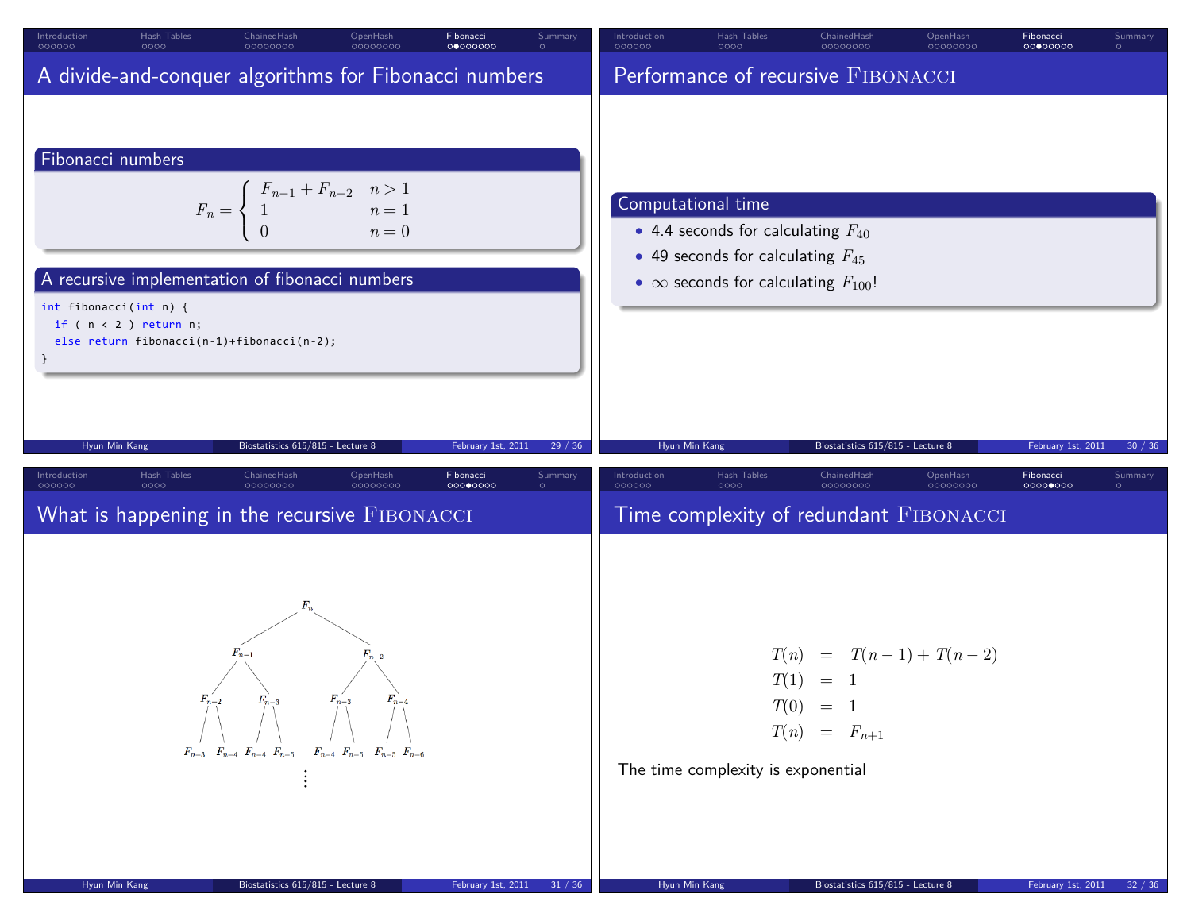